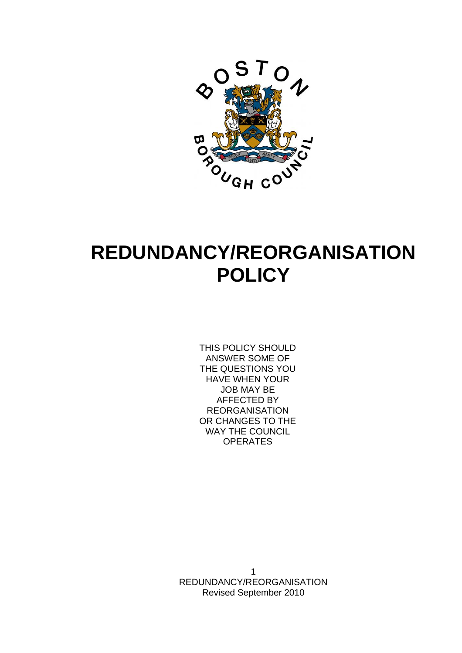

# **REDUNDANCY/REORGANISATION POLICY**

THIS POLICY SHOULD ANSWER SOME OF THE QUESTIONS YOU HAVE WHEN YOUR JOB MAY BE AFFECTED BY REORGANISATION OR CHANGES TO THE WAY THE COUNCIL **OPERATES**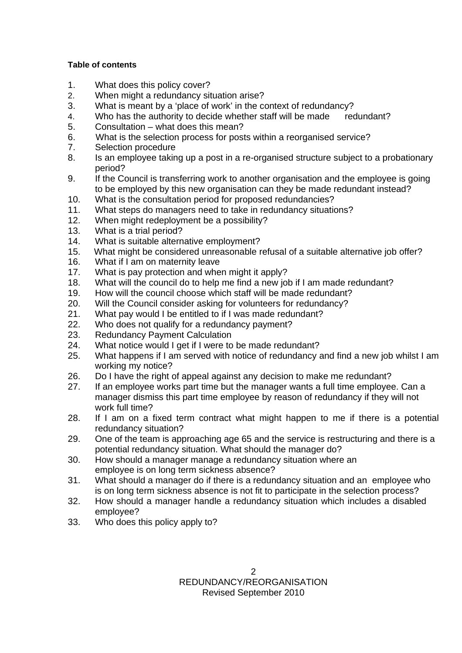### **Table of contents**

- 1. What does this policy cover?
- 2. When might a redundancy situation arise?
- 3. What is meant by a 'place of work' in the context of redundancy?
- 4. Who has the authority to decide whether staff will be made redundant?
- 5. Consultation what does this mean?
- 6. What is the selection process for posts within a reorganised service?
- 7. Selection procedure
- 8. Is an employee taking up a post in a re-organised structure subject to a probationary period?
- 9. If the Council is transferring work to another organisation and the employee is going to be employed by this new organisation can they be made redundant instead?
- 10. What is the consultation period for proposed redundancies?
- 11. What steps do managers need to take in redundancy situations?
- 12. When might redeployment be a possibility?
- 13. What is a trial period?
- 14. What is suitable alternative employment?
- 15. What might be considered unreasonable refusal of a suitable alternative job offer?
- 16. What if I am on maternity leave
- 17. What is pay protection and when might it apply?
- 18. What will the council do to help me find a new job if I am made redundant?
- 19. How will the council choose which staff will be made redundant?
- 20. Will the Council consider asking for volunteers for redundancy?
- 21. What pay would I be entitled to if I was made redundant?
- 22. Who does not qualify for a redundancy payment?
- 23. Redundancy Payment Calculation
- 24. What notice would I get if I were to be made redundant?
- 25. What happens if I am served with notice of redundancy and find a new job whilst I am working my notice?
- 26. Do I have the right of appeal against any decision to make me redundant?
- 27. If an employee works part time but the manager wants a full time employee. Can a manager dismiss this part time employee by reason of redundancy if they will not work full time?
- 28. If I am on a fixed term contract what might happen to me if there is a potential redundancy situation?
- 29. One of the team is approaching age 65 and the service is restructuring and there is a potential redundancy situation. What should the manager do?
- 30. How should a manager manage a redundancy situation where an employee is on long term sickness absence?
- 31. What should a manager do if there is a redundancy situation and an employee who is on long term sickness absence is not fit to participate in the selection process?
- 32. How should a manager handle a redundancy situation which includes a disabled employee?
- 33. Who does this policy apply to?

 $\mathcal{P}$ REDUNDANCY/REORGANISATION Revised September 2010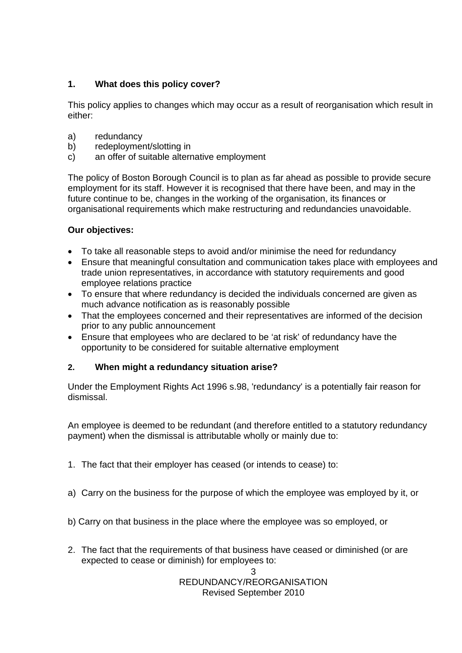# **1. What does this policy cover?**

This policy applies to changes which may occur as a result of reorganisation which result in either:

- a) redundancy
- b) redeployment/slotting in
- c) an offer of suitable alternative employment

The policy of Boston Borough Council is to plan as far ahead as possible to provide secure employment for its staff. However it is recognised that there have been, and may in the future continue to be, changes in the working of the organisation, its finances or organisational requirements which make restructuring and redundancies unavoidable.

# **Our objectives:**

- To take all reasonable steps to avoid and/or minimise the need for redundancy
- Ensure that meaningful consultation and communication takes place with employees and trade union representatives, in accordance with statutory requirements and good employee relations practice
- To ensure that where redundancy is decided the individuals concerned are given as much advance notification as is reasonably possible
- That the employees concerned and their representatives are informed of the decision prior to any public announcement
- Ensure that employees who are declared to be 'at risk' of redundancy have the opportunity to be considered for suitable alternative employment

# **2. When might a redundancy situation arise?**

Under the Employment Rights Act 1996 s.98, 'redundancy' is a potentially fair reason for dismissal.

An employee is deemed to be redundant (and therefore entitled to a statutory redundancy payment) when the dismissal is attributable wholly or mainly due to:

- 1. The fact that their employer has ceased (or intends to cease) to:
- a) Carry on the business for the purpose of which the employee was employed by it, or
- b) Carry on that business in the place where the employee was so employed, or
- 2. The fact that the requirements of that business have ceased or diminished (or are expected to cease or diminish) for employees to: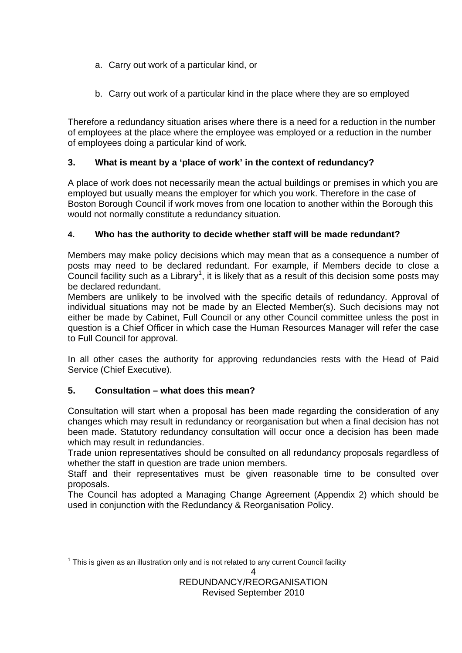- a. Carry out work of a particular kind, or
- b. Carry out work of a particular kind in the place where they are so employed

Therefore a redundancy situation arises where there is a need for a reduction in the number of employees at the place where the employee was employed or a reduction in the number of employees doing a particular kind of work.

# **3. What is meant by a 'place of work' in the context of redundancy?**

A place of work does not necessarily mean the actual buildings or premises in which you are employed but usually means the employer for which you work. Therefore in the case of Boston Borough Council if work moves from one location to another within the Borough this would not normally constitute a redundancy situation.

# **4. Who has the authority to decide whether staff will be made redundant?**

Members may make policy decisions which may mean that as a consequence a number of posts may need to be declared redundant. For example, if Members decide to close a Council facility such as a Library<sup>1</sup>, it is likely that as a result of this decision some posts may be declared redundant.

Members are unlikely to be involved with the specific details of redundancy. Approval of individual situations may not be made by an Elected Member(s). Such decisions may not either be made by Cabinet, Full Council or any other Council committee unless the post in question is a Chief Officer in which case the Human Resources Manager will refer the case to Full Council for approval.

In all other cases the authority for approving redundancies rests with the Head of Paid Service (Chief Executive).

# **5. Consultation – what does this mean?**

Consultation will start when a proposal has been made regarding the consideration of any changes which may result in redundancy or reorganisation but when a final decision has not been made. Statutory redundancy consultation will occur once a decision has been made which may result in redundancies.

Trade union representatives should be consulted on all redundancy proposals regardless of whether the staff in question are trade union members.

Staff and their representatives must be given reasonable time to be consulted over proposals.

The Council has adopted a Managing Change Agreement (Appendix 2) which should be used in conjunction with the Redundancy & Reorganisation Policy.

 $\lambda$   $1$  This is given as an illustration only and is not related to any current Council facility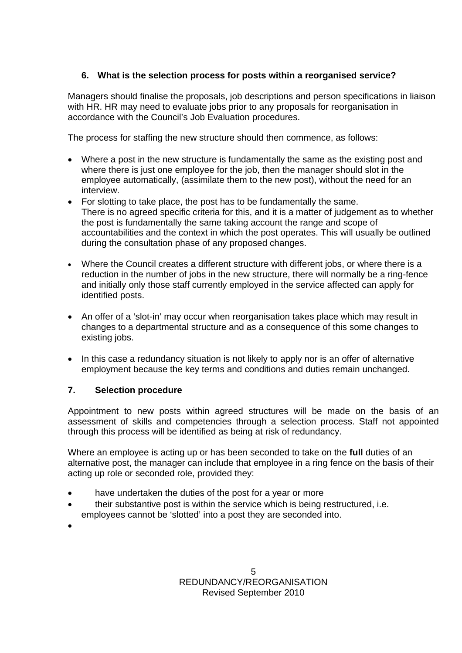# **6. What is the selection process for posts within a reorganised service?**

Managers should finalise the proposals, job descriptions and person specifications in liaison with HR. HR may need to evaluate jobs prior to any proposals for reorganisation in accordance with the Council's Job Evaluation procedures.

The process for staffing the new structure should then commence, as follows:

- Where a post in the new structure is fundamentally the same as the existing post and where there is just one employee for the job, then the manager should slot in the employee automatically, (assimilate them to the new post), without the need for an interview.
- For slotting to take place, the post has to be fundamentally the same. There is no agreed specific criteria for this, and it is a matter of judgement as to whether the post is fundamentally the same taking account the range and scope of accountabilities and the context in which the post operates. This will usually be outlined during the consultation phase of any proposed changes.
- Where the Council creates a different structure with different jobs, or where there is a reduction in the number of jobs in the new structure, there will normally be a ring-fence and initially only those staff currently employed in the service affected can apply for identified posts.
- An offer of a 'slot-in' may occur when reorganisation takes place which may result in changes to a departmental structure and as a consequence of this some changes to existing jobs.
- In this case a redundancy situation is not likely to apply nor is an offer of alternative employment because the key terms and conditions and duties remain unchanged.

# **7. Selection procedure**

Appointment to new posts within agreed structures will be made on the basis of an assessment of skills and competencies through a selection process. Staff not appointed through this process will be identified as being at risk of redundancy.

Where an employee is acting up or has been seconded to take on the **full** duties of an alternative post, the manager can include that employee in a ring fence on the basis of their acting up role or seconded role, provided they:

- have undertaken the duties of the post for a year or more
- their substantive post is within the service which is being restructured, i.e. employees cannot be 'slotted' into a post they are seconded into.
- $\bullet$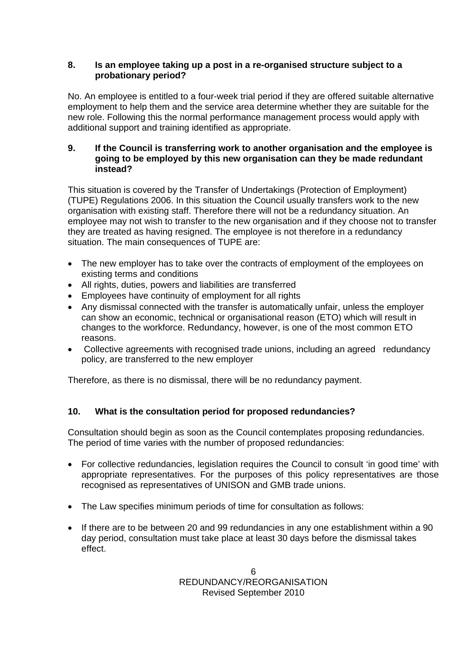## **8. Is an employee taking up a post in a re-organised structure subject to a probationary period?**

No. An employee is entitled to a four-week trial period if they are offered suitable alternative employment to help them and the service area determine whether they are suitable for the new role. Following this the normal performance management process would apply with additional support and training identified as appropriate.

## **9. If the Council is transferring work to another organisation and the employee is going to be employed by this new organisation can they be made redundant instead?**

This situation is covered by the Transfer of Undertakings (Protection of Employment) (TUPE) Regulations 2006. In this situation the Council usually transfers work to the new organisation with existing staff. Therefore there will not be a redundancy situation. An employee may not wish to transfer to the new organisation and if they choose not to transfer they are treated as having resigned. The employee is not therefore in a redundancy situation. The main consequences of TUPE are:

- The new employer has to take over the contracts of employment of the employees on existing terms and conditions
- All rights, duties, powers and liabilities are transferred
- Employees have continuity of employment for all rights
- Any dismissal connected with the transfer is automatically unfair, unless the employer can show an economic, technical or organisational reason (ETO) which will result in changes to the workforce. Redundancy, however, is one of the most common ETO reasons.
- Collective agreements with recognised trade unions, including an agreed redundancy policy, are transferred to the new employer

Therefore, as there is no dismissal, there will be no redundancy payment.

# **10. What is the consultation period for proposed redundancies?**

Consultation should begin as soon as the Council contemplates proposing redundancies. The period of time varies with the number of proposed redundancies:

- For collective redundancies, legislation requires the Council to consult 'in good time' with appropriate representatives. For the purposes of this policy representatives are those recognised as representatives of UNISON and GMB trade unions.
- The Law specifies minimum periods of time for consultation as follows:
- If there are to be between 20 and 99 redundancies in any one establishment within a 90 day period, consultation must take place at least 30 days before the dismissal takes effect.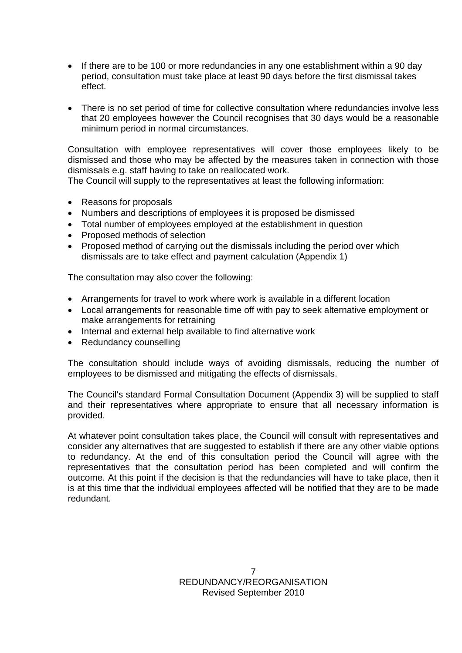- If there are to be 100 or more redundancies in any one establishment within a 90 day period, consultation must take place at least 90 days before the first dismissal takes effect.
- There is no set period of time for collective consultation where redundancies involve less that 20 employees however the Council recognises that 30 days would be a reasonable minimum period in normal circumstances.

Consultation with employee representatives will cover those employees likely to be dismissed and those who may be affected by the measures taken in connection with those dismissals e.g. staff having to take on reallocated work.

The Council will supply to the representatives at least the following information:

- Reasons for proposals
- Numbers and descriptions of employees it is proposed be dismissed
- Total number of employees employed at the establishment in question
- Proposed methods of selection
- Proposed method of carrying out the dismissals including the period over which dismissals are to take effect and payment calculation (Appendix 1)

The consultation may also cover the following:

- Arrangements for travel to work where work is available in a different location
- Local arrangements for reasonable time off with pay to seek alternative employment or make arrangements for retraining
- Internal and external help available to find alternative work
- Redundancy counselling

The consultation should include ways of avoiding dismissals, reducing the number of employees to be dismissed and mitigating the effects of dismissals.

The Council's standard Formal Consultation Document (Appendix 3) will be supplied to staff and their representatives where appropriate to ensure that all necessary information is provided.

At whatever point consultation takes place, the Council will consult with representatives and consider any alternatives that are suggested to establish if there are any other viable options to redundancy. At the end of this consultation period the Council will agree with the representatives that the consultation period has been completed and will confirm the outcome. At this point if the decision is that the redundancies will have to take place, then it is at this time that the individual employees affected will be notified that they are to be made redundant.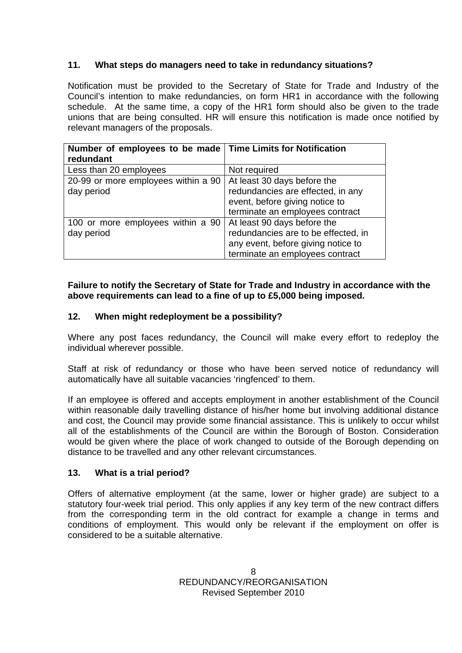## **11. What steps do managers need to take in redundancy situations?**

Notification must be provided to the Secretary of State for Trade and Industry of the Council's intention to make redundancies, on form HR1 in accordance with the following schedule. At the same time, a copy of the HR1 form should also be given to the trade unions that are being consulted. HR will ensure this notification is made once notified by relevant managers of the proposals.

| Number of employees to be made   Time Limits for Notification<br>redundant |                                                                                                                                             |
|----------------------------------------------------------------------------|---------------------------------------------------------------------------------------------------------------------------------------------|
| Less than 20 employees                                                     | Not required                                                                                                                                |
| 20-99 or more employees within a 90<br>day period                          | At least 30 days before the<br>redundancies are effected, in any<br>event, before giving notice to<br>terminate an employees contract       |
| 100 or more employees within a 90<br>day period                            | At least 90 days before the<br>redundancies are to be effected, in<br>any event, before giving notice to<br>terminate an employees contract |

## **Failure to notify the Secretary of State for Trade and Industry in accordance with the above requirements can lead to a fine of up to £5,000 being imposed.**

## **12. When might redeployment be a possibility?**

Where any post faces redundancy, the Council will make every effort to redeploy the individual wherever possible.

Staff at risk of redundancy or those who have been served notice of redundancy will automatically have all suitable vacancies 'ringfenced' to them.

If an employee is offered and accepts employment in another establishment of the Council within reasonable daily travelling distance of his/her home but involving additional distance and cost, the Council may provide some financial assistance. This is unlikely to occur whilst all of the establishments of the Council are within the Borough of Boston. Consideration would be given where the place of work changed to outside of the Borough depending on distance to be travelled and any other relevant circumstances.

## **13. What is a trial period?**

Offers of alternative employment (at the same, lower or higher grade) are subject to a statutory four-week trial period. This only applies if any key term of the new contract differs from the corresponding term in the old contract for example a change in terms and conditions of employment. This would only be relevant if the employment on offer is considered to be a suitable alternative.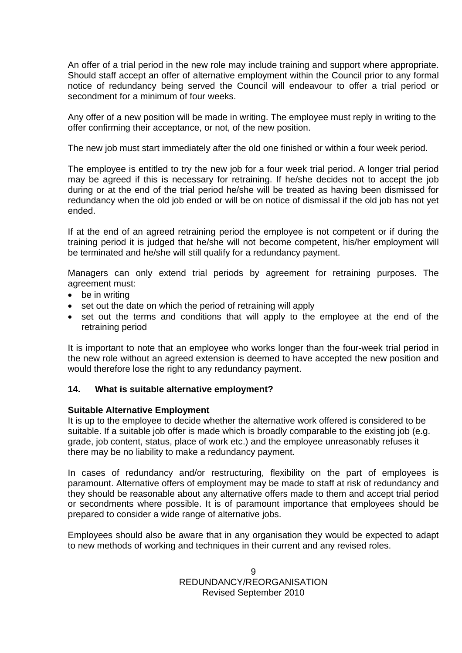An offer of a trial period in the new role may include training and support where appropriate. Should staff accept an offer of alternative employment within the Council prior to any formal notice of redundancy being served the Council will endeavour to offer a trial period or secondment for a minimum of four weeks.

Any offer of a new position will be made in writing. The employee must reply in writing to the offer confirming their acceptance, or not, of the new position.

The new job must start immediately after the old one finished or within a four week period.

The employee is entitled to try the new job for a four week trial period. A longer trial period may be agreed if this is necessary for retraining. If he/she decides not to accept the job during or at the end of the trial period he/she will be treated as having been dismissed for redundancy when the old job ended or will be on notice of dismissal if the old job has not yet ended.

If at the end of an agreed retraining period the employee is not competent or if during the training period it is judged that he/she will not become competent, his/her employment will be terminated and he/she will still qualify for a redundancy payment.

Managers can only extend trial periods by agreement for retraining purposes. The agreement must:

- be in writing
- set out the date on which the period of retraining will apply
- set out the terms and conditions that will apply to the employee at the end of the retraining period

It is important to note that an employee who works longer than the four-week trial period in the new role without an agreed extension is deemed to have accepted the new position and would therefore lose the right to any redundancy payment.

#### **14. What is suitable alternative employment?**

#### **Suitable Alternative Employment**

It is up to the employee to decide whether the alternative work offered is considered to be suitable. If a suitable job offer is made which is broadly comparable to the existing job (e.g. grade, job content, status, place of work etc.) and the employee unreasonably refuses it there may be no liability to make a redundancy payment.

In cases of redundancy and/or restructuring, flexibility on the part of employees is paramount. Alternative offers of employment may be made to staff at risk of redundancy and they should be reasonable about any alternative offers made to them and accept trial period or secondments where possible. It is of paramount importance that employees should be prepared to consider a wide range of alternative jobs.

Employees should also be aware that in any organisation they would be expected to adapt to new methods of working and techniques in their current and any revised roles.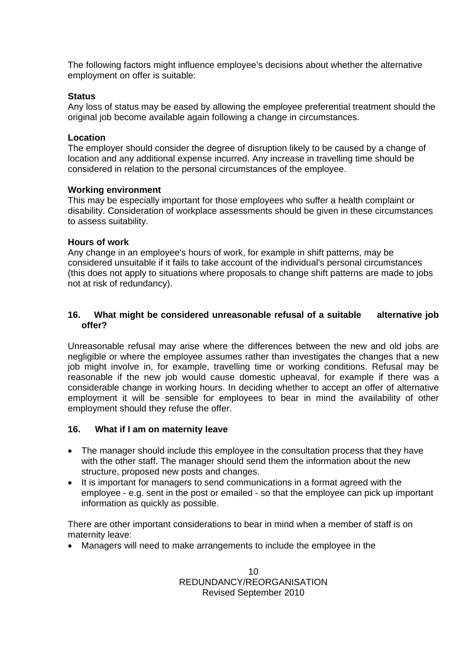The following factors might influence employee's decisions about whether the alternative employment on offer is suitable:

#### **Status**

Any loss of status may be eased by allowing the employee preferential treatment should the original job become available again following a change in circumstances.

#### **Location**

The employer should consider the degree of disruption likely to be caused by a change of location and any additional expense incurred. Any increase in travelling time should be considered in relation to the personal circumstances of the employee.

#### **Working environment**

This may be especially important for those employees who suffer a health complaint or disability. Consideration of workplace assessments should be given in these circumstances to assess suitability.

#### **Hours of work**

Any change in an employee's hours of work, for example in shift patterns, may be considered unsuitable if it fails to take account of the individual's personal circumstances (this does not apply to situations where proposals to change shift patterns are made to jobs not at risk of redundancy).

#### **16. What might be considered unreasonable refusal of a suitable alternative job offer?**

Unreasonable refusal may arise where the differences between the new and old jobs are negligible or where the employee assumes rather than investigates the changes that a new job might involve in, for example, travelling time or working conditions. Refusal may be reasonable if the new job would cause domestic upheaval, for example if there was a considerable change in working hours. In deciding whether to accept an offer of alternative employment it will be sensible for employees to bear in mind the availability of other employment should they refuse the offer.

## **16. What if I am on maternity leave**

- The manager should include this employee in the consultation process that they have with the other staff. The manager should send them the information about the new structure, proposed new posts and changes.
- It is important for managers to send communications in a format agreed with the employee - e.g. sent in the post or emailed - so that the employee can pick up important information as quickly as possible.

There are other important considerations to bear in mind when a member of staff is on maternity leave:

Managers will need to make arrangements to include the employee in the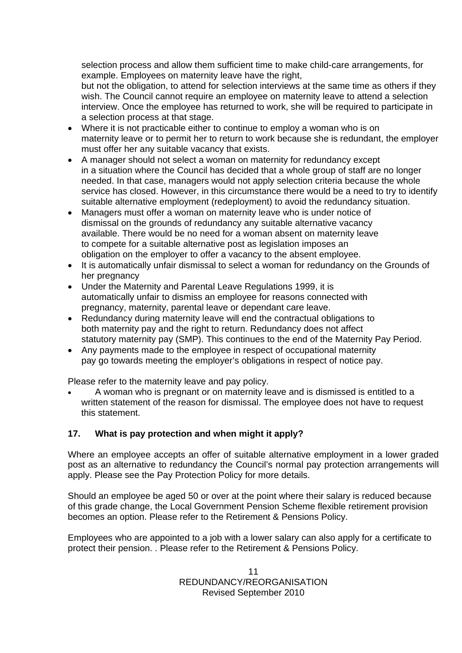selection process and allow them sufficient time to make child-care arrangements, for example. Employees on maternity leave have the right,

but not the obligation, to attend for selection interviews at the same time as others if they wish. The Council cannot require an employee on maternity leave to attend a selection interview. Once the employee has returned to work, she will be required to participate in a selection process at that stage.

- Where it is not practicable either to continue to employ a woman who is on maternity leave or to permit her to return to work because she is redundant, the employer must offer her any suitable vacancy that exists.
- A manager should not select a woman on maternity for redundancy except in a situation where the Council has decided that a whole group of staff are no longer needed. In that case, managers would not apply selection criteria because the whole service has closed. However, in this circumstance there would be a need to try to identify suitable alternative employment (redeployment) to avoid the redundancy situation.
- Managers must offer a woman on maternity leave who is under notice of dismissal on the grounds of redundancy any suitable alternative vacancy available. There would be no need for a woman absent on maternity leave to compete for a suitable alternative post as legislation imposes an obligation on the employer to offer a vacancy to the absent employee.
- It is automatically unfair dismissal to select a woman for redundancy on the Grounds of her pregnancy
- Under the Maternity and Parental Leave Regulations 1999, it is automatically unfair to dismiss an employee for reasons connected with pregnancy, maternity, parental leave or dependant care leave.
- Redundancy during maternity leave will end the contractual obligations to both maternity pay and the right to return. Redundancy does not affect statutory maternity pay (SMP). This continues to the end of the Maternity Pay Period.
- Any payments made to the employee in respect of occupational maternity pay go towards meeting the employer's obligations in respect of notice pay.

Please refer to the maternity leave and pay policy.

 A woman who is pregnant or on maternity leave and is dismissed is entitled to a written statement of the reason for dismissal. The employee does not have to request this statement.

# **17. What is pay protection and when might it apply?**

Where an employee accepts an offer of suitable alternative employment in a lower graded post as an alternative to redundancy the Council's normal pay protection arrangements will apply. Please see the Pay Protection Policy for more details.

Should an employee be aged 50 or over at the point where their salary is reduced because of this grade change, the Local Government Pension Scheme flexible retirement provision becomes an option. Please refer to the Retirement & Pensions Policy.

Employees who are appointed to a job with a lower salary can also apply for a certificate to protect their pension. . Please refer to the Retirement & Pensions Policy.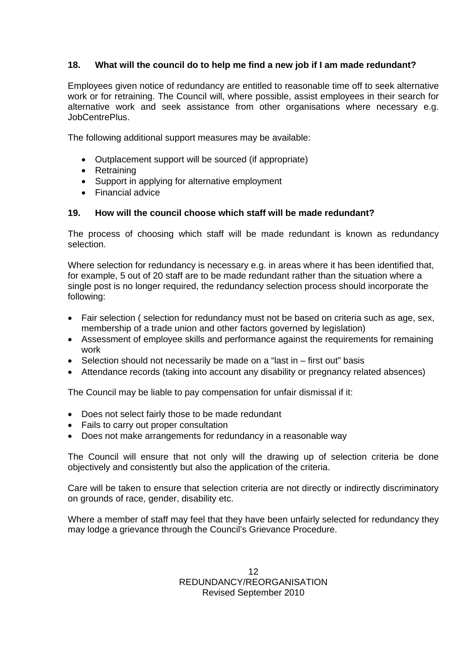## **18. What will the council do to help me find a new job if I am made redundant?**

Employees given notice of redundancy are entitled to reasonable time off to seek alternative work or for retraining. The Council will, where possible, assist employees in their search for alternative work and seek assistance from other organisations where necessary e.g. JobCentrePlus.

The following additional support measures may be available:

- Outplacement support will be sourced (if appropriate)
- Retraining
- Support in applying for alternative employment
- Financial advice

## **19. How will the council choose which staff will be made redundant?**

The process of choosing which staff will be made redundant is known as redundancy selection.

Where selection for redundancy is necessary e.g. in areas where it has been identified that, for example, 5 out of 20 staff are to be made redundant rather than the situation where a single post is no longer required, the redundancy selection process should incorporate the following:

- Fair selection ( selection for redundancy must not be based on criteria such as age, sex, membership of a trade union and other factors governed by legislation)
- Assessment of employee skills and performance against the requirements for remaining work
- Selection should not necessarily be made on a "last in first out" basis
- Attendance records (taking into account any disability or pregnancy related absences)

The Council may be liable to pay compensation for unfair dismissal if it:

- Does not select fairly those to be made redundant
- Fails to carry out proper consultation
- Does not make arrangements for redundancy in a reasonable way

The Council will ensure that not only will the drawing up of selection criteria be done objectively and consistently but also the application of the criteria.

Care will be taken to ensure that selection criteria are not directly or indirectly discriminatory on grounds of race, gender, disability etc.

Where a member of staff may feel that they have been unfairly selected for redundancy they may lodge a grievance through the Council's Grievance Procedure.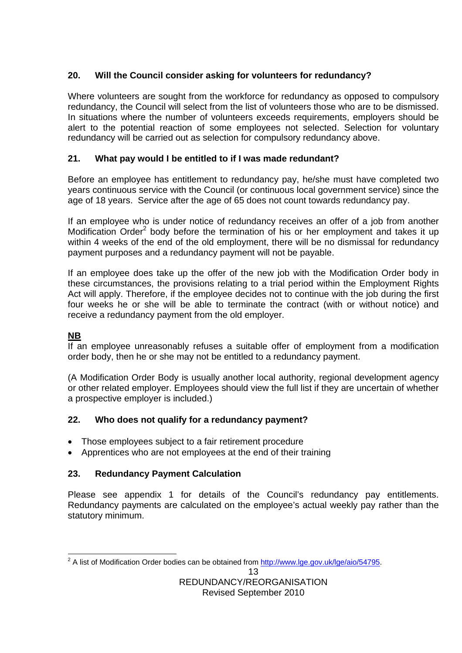# **20. Will the Council consider asking for volunteers for redundancy?**

Where volunteers are sought from the workforce for redundancy as opposed to compulsory redundancy, the Council will select from the list of volunteers those who are to be dismissed. In situations where the number of volunteers exceeds requirements, employers should be alert to the potential reaction of some employees not selected. Selection for voluntary redundancy will be carried out as selection for compulsory redundancy above.

# **21. What pay would I be entitled to if I was made redundant?**

Before an employee has entitlement to redundancy pay, he/she must have completed two years continuous service with the Council (or continuous local government service) since the age of 18 years. Service after the age of 65 does not count towards redundancy pay.

If an employee who is under notice of redundancy receives an offer of a job from another Modification Order<sup>2</sup> body before the termination of his or her employment and takes it up within 4 weeks of the end of the old employment, there will be no dismissal for redundancy payment purposes and a redundancy payment will not be payable.

If an employee does take up the offer of the new job with the Modification Order body in these circumstances, the provisions relating to a trial period within the Employment Rights Act will apply. Therefore, if the employee decides not to continue with the job during the first four weeks he or she will be able to terminate the contract (with or without notice) and receive a redundancy payment from the old employer.

# **NB**

If an employee unreasonably refuses a suitable offer of employment from a modification order body, then he or she may not be entitled to a redundancy payment.

(A Modification Order Body is usually another local authority, regional development agency or other related employer. Employees should view the full list if they are uncertain of whether a prospective employer is included.)

# **22. Who does not qualify for a redundancy payment?**

- Those employees subject to a fair retirement procedure
- Apprentices who are not employees at the end of their training

# **23. Redundancy Payment Calculation**

Please see appendix 1 for details of the Council's redundancy pay entitlements. Redundancy payments are calculated on the employee's actual weekly pay rather than the statutory minimum.

<sup>&</sup>lt;u>.</u><br><sup>2</sup> A list of Modification Order bodies can be obtained from http://www.lge.gov.uk/lge/aio/54795.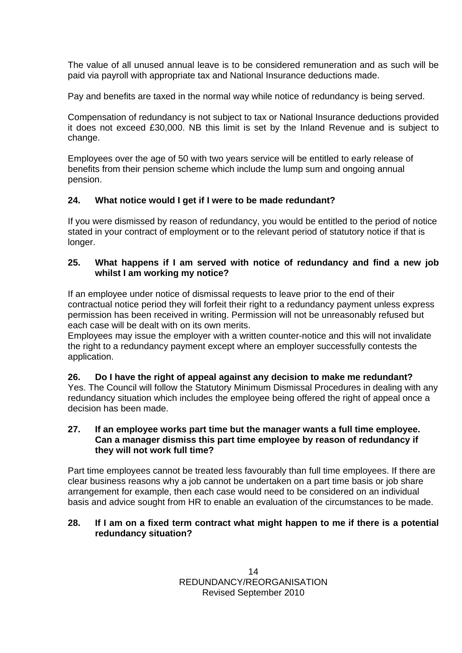The value of all unused annual leave is to be considered remuneration and as such will be paid via payroll with appropriate tax and National Insurance deductions made.

Pay and benefits are taxed in the normal way while notice of redundancy is being served.

Compensation of redundancy is not subject to tax or National Insurance deductions provided it does not exceed £30,000. NB this limit is set by the Inland Revenue and is subject to change.

Employees over the age of 50 with two years service will be entitled to early release of benefits from their pension scheme which include the lump sum and ongoing annual pension.

## **24. What notice would I get if I were to be made redundant?**

If you were dismissed by reason of redundancy, you would be entitled to the period of notice stated in your contract of employment or to the relevant period of statutory notice if that is longer.

## **25. What happens if I am served with notice of redundancy and find a new job whilst I am working my notice?**

If an employee under notice of dismissal requests to leave prior to the end of their contractual notice period they will forfeit their right to a redundancy payment unless express permission has been received in writing. Permission will not be unreasonably refused but each case will be dealt with on its own merits.

Employees may issue the employer with a written counter-notice and this will not invalidate the right to a redundancy payment except where an employer successfully contests the application.

**26. Do I have the right of appeal against any decision to make me redundant?** 

Yes. The Council will follow the Statutory Minimum Dismissal Procedures in dealing with any redundancy situation which includes the employee being offered the right of appeal once a decision has been made.

#### **27. If an employee works part time but the manager wants a full time employee. Can a manager dismiss this part time employee by reason of redundancy if they will not work full time?**

Part time employees cannot be treated less favourably than full time employees. If there are clear business reasons why a job cannot be undertaken on a part time basis or job share arrangement for example, then each case would need to be considered on an individual basis and advice sought from HR to enable an evaluation of the circumstances to be made.

## **28. If I am on a fixed term contract what might happen to me if there is a potential redundancy situation?**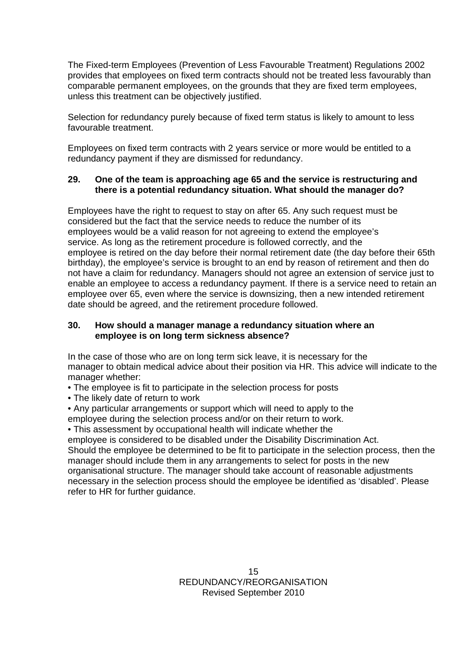The Fixed-term Employees (Prevention of Less Favourable Treatment) Regulations 2002 provides that employees on fixed term contracts should not be treated less favourably than comparable permanent employees, on the grounds that they are fixed term employees, unless this treatment can be objectively justified.

Selection for redundancy purely because of fixed term status is likely to amount to less favourable treatment.

Employees on fixed term contracts with 2 years service or more would be entitled to a redundancy payment if they are dismissed for redundancy.

### **29. One of the team is approaching age 65 and the service is restructuring and there is a potential redundancy situation. What should the manager do?**

Employees have the right to request to stay on after 65. Any such request must be considered but the fact that the service needs to reduce the number of its employees would be a valid reason for not agreeing to extend the employee's service. As long as the retirement procedure is followed correctly, and the employee is retired on the day before their normal retirement date (the day before their 65th birthday), the employee's service is brought to an end by reason of retirement and then do not have a claim for redundancy. Managers should not agree an extension of service just to enable an employee to access a redundancy payment. If there is a service need to retain an employee over 65, even where the service is downsizing, then a new intended retirement date should be agreed, and the retirement procedure followed.

## **30. How should a manager manage a redundancy situation where an employee is on long term sickness absence?**

In the case of those who are on long term sick leave, it is necessary for the manager to obtain medical advice about their position via HR. This advice will indicate to the manager whether:

• The employee is fit to participate in the selection process for posts

• The likely date of return to work

• Any particular arrangements or support which will need to apply to the employee during the selection process and/or on their return to work.

• This assessment by occupational health will indicate whether the

employee is considered to be disabled under the Disability Discrimination Act. Should the employee be determined to be fit to participate in the selection process, then the manager should include them in any arrangements to select for posts in the new organisational structure. The manager should take account of reasonable adjustments necessary in the selection process should the employee be identified as 'disabled'. Please refer to HR for further guidance.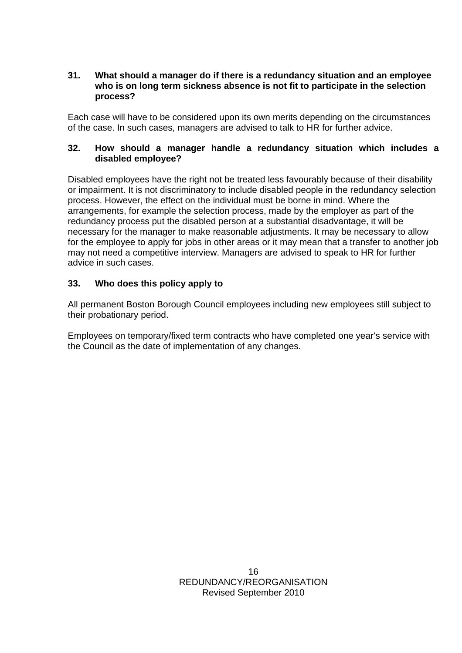#### **31. What should a manager do if there is a redundancy situation and an employee who is on long term sickness absence is not fit to participate in the selection process?**

Each case will have to be considered upon its own merits depending on the circumstances of the case. In such cases, managers are advised to talk to HR for further advice.

## **32. How should a manager handle a redundancy situation which includes a disabled employee?**

Disabled employees have the right not be treated less favourably because of their disability or impairment. It is not discriminatory to include disabled people in the redundancy selection process. However, the effect on the individual must be borne in mind. Where the arrangements, for example the selection process, made by the employer as part of the redundancy process put the disabled person at a substantial disadvantage, it will be necessary for the manager to make reasonable adjustments. It may be necessary to allow for the employee to apply for jobs in other areas or it may mean that a transfer to another job may not need a competitive interview. Managers are advised to speak to HR for further advice in such cases.

## **33. Who does this policy apply to**

All permanent Boston Borough Council employees including new employees still subject to their probationary period.

Employees on temporary/fixed term contracts who have completed one year's service with the Council as the date of implementation of any changes.